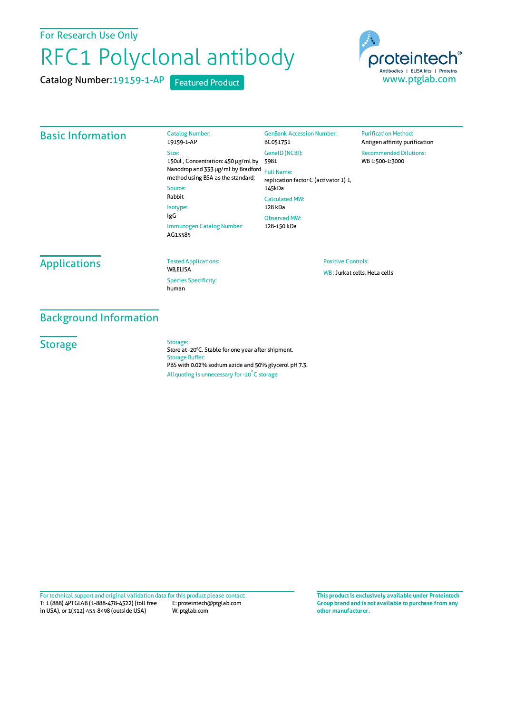For Research Use Only

# RFC1 Polyclonal antibody

Catalog Number:19159-1-AP Featured Product

Catalog Number:



### Basic Information

19159-1-AP Size: 150ul , Concentration: 450 μg/ml by 5981 Nanodrop and 333 μg/ml by Bradford Full Name: method using BSA as the standard; Source: Rabbit Isotype: IgG Immunogen Catalog Number: AG13585 BC051751 GeneID(NCBI): replication factor C (activator 1) 1, 145kDa CalculatedMW: 128 kDa ObservedMW: 128-150 kDa

GenBank Accession Number:

#### **Purification Method:** Antigen affinity purification Recommended Dilutions: WB 1:500-1:3000

## **Applications**

Tested Applications: **WR FLISA** Species Specificity: human

Positive Controls: WB :Jurkat cells, HeLa cells

Background Information

**Storage** 

#### Storage:

Store at -20°C. Stable for one year after shipment. Storage Buffer: PBS with 0.02% sodium azide and 50% glycerol pH 7.3. Aliquoting is unnecessary for -20<sup>°</sup>C storage

T: 1 (888) 4PTGLAB (1-888-478-4522) (toll free in USA), or 1(312) 455-8498 (outside USA) E: proteintech@ptglab.com W: ptglab.com Fortechnical support and original validation data forthis product please contact: **This productis exclusively available under Proteintech**

**Group brand and is not available to purchase from any other manufacturer.**